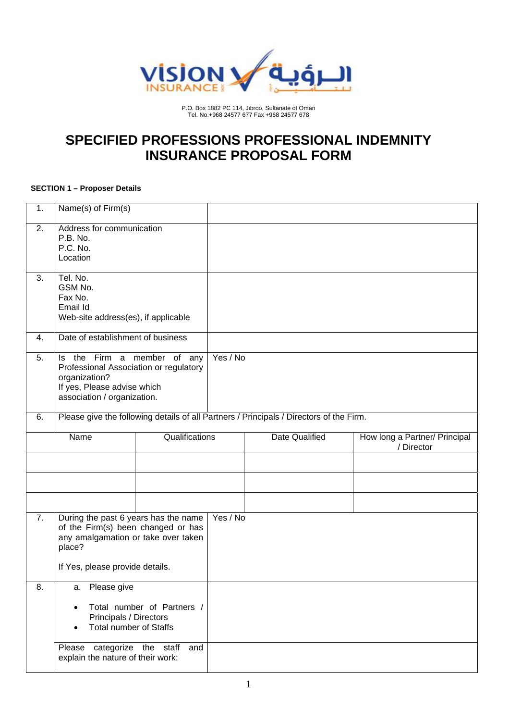

P.O. Box 1882 PC 114, Jibroo, Sultanate of Oman Tel. No.+968 24577 677 Fax +968 24577 678

# **SPECIFIED PROFESSIONS PROFESSIONAL INDEMNITY INSURANCE PROPOSAL FORM**

### **SECTION 1 – Proposer Details**

| 1.               | Name(s) of Firm(s)                                                                                                                                             |  |                                                                                         |                |                                             |
|------------------|----------------------------------------------------------------------------------------------------------------------------------------------------------------|--|-----------------------------------------------------------------------------------------|----------------|---------------------------------------------|
| $\overline{2}$ . | Address for communication<br>P.B. No.<br>P.C. No.<br>Location                                                                                                  |  |                                                                                         |                |                                             |
| 3.               | Tel. No.<br>GSM No.<br>Fax No.<br>Email Id<br>Web-site address(es), if applicable                                                                              |  |                                                                                         |                |                                             |
| 4.               | Date of establishment of business                                                                                                                              |  |                                                                                         |                |                                             |
| 5.               | Is the Firm a member of any<br>Professional Association or regulatory<br>organization?<br>If yes, Please advise which<br>association / organization.           |  | Yes / No                                                                                |                |                                             |
| 6.               |                                                                                                                                                                |  | Please give the following details of all Partners / Principals / Directors of the Firm. |                |                                             |
|                  | Qualifications<br>Name                                                                                                                                         |  |                                                                                         | Date Qualified | How long a Partner/ Principal<br>/ Director |
|                  |                                                                                                                                                                |  |                                                                                         |                |                                             |
|                  |                                                                                                                                                                |  |                                                                                         |                |                                             |
|                  |                                                                                                                                                                |  |                                                                                         |                |                                             |
| 7.               | During the past 6 years has the name<br>of the Firm(s) been changed or has<br>any amalgamation or take over taken<br>place?<br>If Yes, please provide details. |  | Yes / No                                                                                |                |                                             |
| 8.               | Please give<br>a.                                                                                                                                              |  |                                                                                         |                |                                             |
|                  | Total number of Partners /<br>Principals / Directors<br><b>Total number of Staffs</b>                                                                          |  |                                                                                         |                |                                             |
|                  | Please categorize the staff<br>and<br>explain the nature of their work:                                                                                        |  |                                                                                         |                |                                             |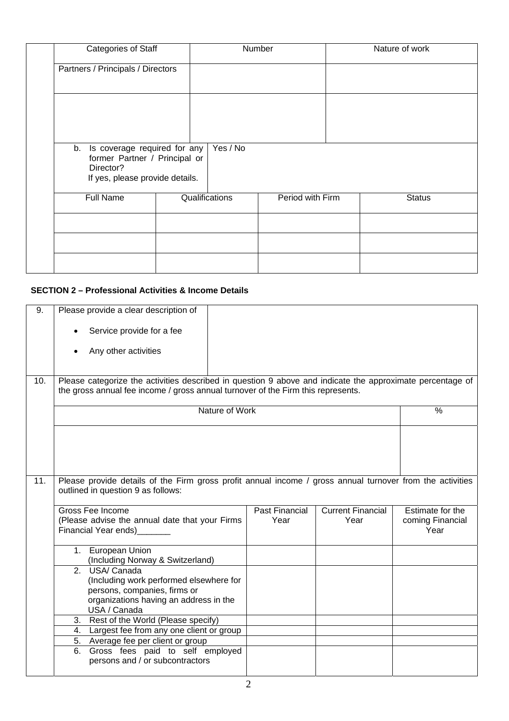| Categories of Staff                                                                                              |  |                | Number           | Nature of work |
|------------------------------------------------------------------------------------------------------------------|--|----------------|------------------|----------------|
| Partners / Principals / Directors                                                                                |  |                |                  |                |
|                                                                                                                  |  |                |                  |                |
| b. Is coverage required for any<br>former Partner / Principal or<br>Director?<br>If yes, please provide details. |  | Yes / No       |                  |                |
| <b>Full Name</b>                                                                                                 |  | Qualifications | Period with Firm | <b>Status</b>  |
|                                                                                                                  |  |                |                  |                |
|                                                                                                                  |  |                |                  |                |
|                                                                                                                  |  |                |                  |                |

### **SECTION 2 – Professional Activities & Income Details**

| 9.                | Please provide a clear description of<br>Service provide for a fee<br>Any other activities                                                                                                    |                |                        |                                  |                                              |
|-------------------|-----------------------------------------------------------------------------------------------------------------------------------------------------------------------------------------------|----------------|------------------------|----------------------------------|----------------------------------------------|
| 10.               | Please categorize the activities described in question 9 above and indicate the approximate percentage of<br>the gross annual fee income / gross annual turnover of the Firm this represents. |                |                        |                                  |                                              |
|                   |                                                                                                                                                                                               | Nature of Work |                        |                                  | $\%$                                         |
|                   |                                                                                                                                                                                               |                |                        |                                  |                                              |
| $\overline{11}$ . | Please provide details of the Firm gross profit annual income / gross annual turnover from the activities<br>outlined in question 9 as follows:                                               |                |                        |                                  |                                              |
|                   | Gross Fee Income<br>(Please advise the annual date that your Firms<br>Financial Year ends) [1997]                                                                                             |                | Past Financial<br>Year | <b>Current Financial</b><br>Year | Estimate for the<br>coming Financial<br>Year |
|                   | 1. European Union<br>(Including Norway & Switzerland)                                                                                                                                         |                |                        |                                  |                                              |
|                   | 2. USA/Canada<br>(Including work performed elsewhere for<br>persons, companies, firms or<br>organizations having an address in the<br>USA / Canada                                            |                |                        |                                  |                                              |
|                   | 3. Rest of the World (Please specify)                                                                                                                                                         |                |                        |                                  |                                              |
|                   | 4. Largest fee from any one client or group                                                                                                                                                   |                |                        |                                  |                                              |
|                   | 5. Average fee per client or group<br>6. Gross fees paid to self employed<br>persons and / or subcontractors                                                                                  |                |                        |                                  |                                              |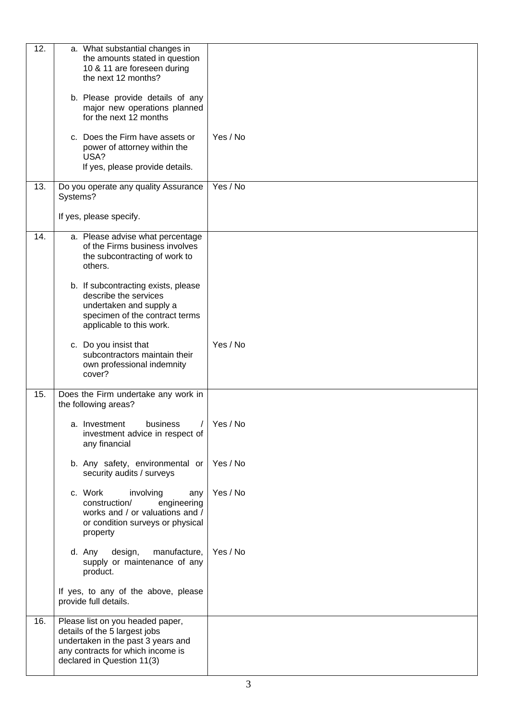| 12. | a. What substantial changes in<br>the amounts stated in question                                                                                                           |          |
|-----|----------------------------------------------------------------------------------------------------------------------------------------------------------------------------|----------|
|     | 10 & 11 are foreseen during<br>the next 12 months?                                                                                                                         |          |
|     | b. Please provide details of any<br>major new operations planned<br>for the next 12 months                                                                                 |          |
|     | c. Does the Firm have assets or<br>power of attorney within the<br>USA?<br>If yes, please provide details.                                                                 | Yes / No |
|     |                                                                                                                                                                            |          |
| 13. | Do you operate any quality Assurance<br>Systems?                                                                                                                           | Yes / No |
|     | If yes, please specify.                                                                                                                                                    |          |
| 14. | a. Please advise what percentage<br>of the Firms business involves<br>the subcontracting of work to<br>others.                                                             |          |
|     | b. If subcontracting exists, please<br>describe the services<br>undertaken and supply a<br>specimen of the contract terms<br>applicable to this work.                      |          |
|     | c. Do you insist that<br>subcontractors maintain their<br>own professional indemnity<br>cover?                                                                             | Yes / No |
| 15. | Does the Firm undertake any work in<br>the following areas?                                                                                                                |          |
|     | business<br>a. Investment<br>investment advice in respect of<br>any financial                                                                                              | Yes / No |
|     | b. Any safety, environmental or<br>security audits / surveys                                                                                                               | Yes / No |
|     | c. Work<br>involving<br>any<br>construction/<br>engineering<br>works and / or valuations and /<br>or condition surveys or physical<br>property                             | Yes / No |
|     | manufacture,<br>d. Any<br>design,<br>supply or maintenance of any<br>product.                                                                                              | Yes / No |
|     | If yes, to any of the above, please<br>provide full details.                                                                                                               |          |
| 16. | Please list on you headed paper,<br>details of the 5 largest jobs<br>undertaken in the past 3 years and<br>any contracts for which income is<br>declared in Question 11(3) |          |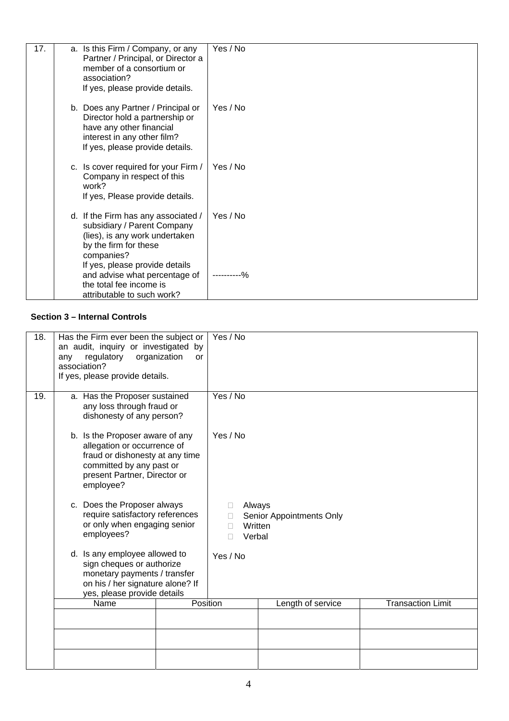| 17. | a. Is this Firm / Company, or any<br>Partner / Principal, or Director a<br>member of a consortium or<br>association?<br>If yes, please provide details.            | Yes / No |
|-----|--------------------------------------------------------------------------------------------------------------------------------------------------------------------|----------|
|     | b. Does any Partner / Principal or<br>Director hold a partnership or<br>have any other financial<br>interest in any other film?<br>If yes, please provide details. | Yes / No |
|     | c. Is cover required for your Firm /<br>Company in respect of this<br>work?<br>If yes, Please provide details.                                                     | Yes / No |
|     | d. If the Firm has any associated /<br>subsidiary / Parent Company<br>(lies), is any work undertaken<br>by the firm for these<br>companies?                        | Yes / No |
|     | If yes, please provide details<br>and advise what percentage of<br>the total fee income is<br>attributable to such work?                                           | ------%  |

## **Section 3 – Internal Controls**

| 18. | Has the Firm ever been the subject or<br>an audit, inquiry or investigated by<br>regulatory<br>organization<br>any<br>or<br>association?<br>If yes, please provide details.                                                                                                                                                                                                                                                                                                                                                                                                |  | Yes / No                    |                          |                          |
|-----|----------------------------------------------------------------------------------------------------------------------------------------------------------------------------------------------------------------------------------------------------------------------------------------------------------------------------------------------------------------------------------------------------------------------------------------------------------------------------------------------------------------------------------------------------------------------------|--|-----------------------------|--------------------------|--------------------------|
| 19. | a. Has the Proposer sustained<br>any loss through fraud or<br>dishonesty of any person?<br>b. Is the Proposer aware of any<br>allegation or occurrence of<br>fraud or dishonesty at any time<br>committed by any past or<br>present Partner, Director or<br>employee?<br>c. Does the Proposer always<br>require satisfactory references<br>or only when engaging senior<br>employees?<br>d. Is any employee allowed to<br>sign cheques or authorize<br>monetary payments / transfer<br>on his / her signature alone? If<br>yes, please provide details<br>Position<br>Name |  | Yes / No                    |                          |                          |
|     |                                                                                                                                                                                                                                                                                                                                                                                                                                                                                                                                                                            |  | Yes / No                    |                          |                          |
|     |                                                                                                                                                                                                                                                                                                                                                                                                                                                                                                                                                                            |  | Always<br>Written<br>Verbal | Senior Appointments Only |                          |
|     |                                                                                                                                                                                                                                                                                                                                                                                                                                                                                                                                                                            |  | Yes / No                    |                          |                          |
|     |                                                                                                                                                                                                                                                                                                                                                                                                                                                                                                                                                                            |  |                             | Length of service        | <b>Transaction Limit</b> |
|     |                                                                                                                                                                                                                                                                                                                                                                                                                                                                                                                                                                            |  |                             |                          |                          |
|     |                                                                                                                                                                                                                                                                                                                                                                                                                                                                                                                                                                            |  |                             |                          |                          |
|     |                                                                                                                                                                                                                                                                                                                                                                                                                                                                                                                                                                            |  |                             |                          |                          |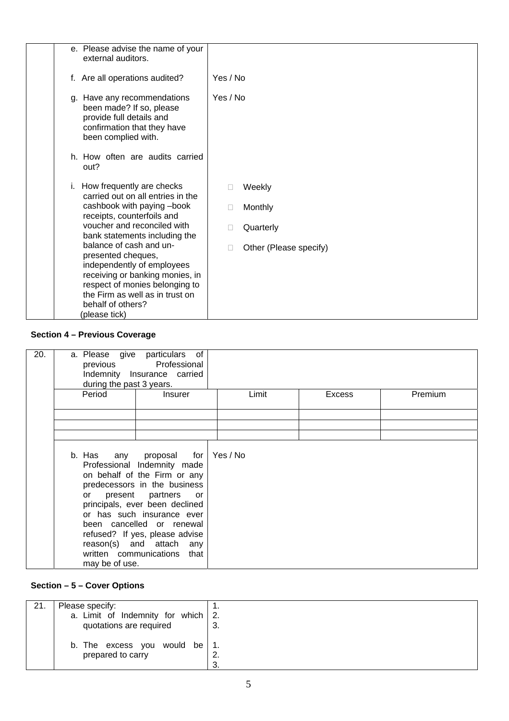| e. Please advise the name of your<br>external auditors.                                                                                                                                                                                                                                                                                                                                                                    |                                                                         |
|----------------------------------------------------------------------------------------------------------------------------------------------------------------------------------------------------------------------------------------------------------------------------------------------------------------------------------------------------------------------------------------------------------------------------|-------------------------------------------------------------------------|
| f. Are all operations audited?                                                                                                                                                                                                                                                                                                                                                                                             | Yes / No                                                                |
| g. Have any recommendations<br>been made? If so, please<br>provide full details and<br>confirmation that they have<br>been complied with.                                                                                                                                                                                                                                                                                  | Yes / No                                                                |
| h. How often are audits carried<br>out?                                                                                                                                                                                                                                                                                                                                                                                    |                                                                         |
| i. How frequently are checks<br>carried out on all entries in the<br>cashbook with paying -book<br>receipts, counterfoils and<br>voucher and reconciled with<br>bank statements including the<br>balance of cash and un-<br>presented cheques,<br>independently of employees<br>receiving or banking monies, in<br>respect of monies belonging to<br>the Firm as well as in trust on<br>behalf of others?<br>(please tick) | Weekly<br>Monthly<br>ш<br>Quarterly<br>C<br>Other (Please specify)<br>П |

# **Section 4 – Previous Coverage**

| 20. | a. Please give particulars of<br>previous Professional<br>Indemnity Insurance carried                                                                                                                                                                                                                                                                           |            |       |               |         |
|-----|-----------------------------------------------------------------------------------------------------------------------------------------------------------------------------------------------------------------------------------------------------------------------------------------------------------------------------------------------------------------|------------|-------|---------------|---------|
|     | during the past 3 years.                                                                                                                                                                                                                                                                                                                                        |            |       |               |         |
|     | Period                                                                                                                                                                                                                                                                                                                                                          | Insurer    | Limit | <b>Excess</b> | Premium |
|     |                                                                                                                                                                                                                                                                                                                                                                 |            |       |               |         |
|     |                                                                                                                                                                                                                                                                                                                                                                 |            |       |               |         |
|     | b. Has $any$ proposal for $Yes/No$<br>Professional Indemnity made<br>on behalf of the Firm or any<br>predecessors in the business<br>or present partners<br>principals, ever been declined<br>or has such insurance ever<br>been cancelled or renewal<br>refused? If yes, please advise<br>reason(s) and attach any<br>written communications<br>may be of use. | or<br>that |       |               |         |

# **Section – 5 – Cover Options**

| 21. | Please specify:                    |         |
|-----|------------------------------------|---------|
|     | a. Limit of Indemnity for which 2. |         |
|     | quotations are required            | -3.     |
|     |                                    |         |
|     | b. The excess you would be         |         |
|     | prepared to carry                  | ۷.      |
|     |                                    | ົ<br>J. |